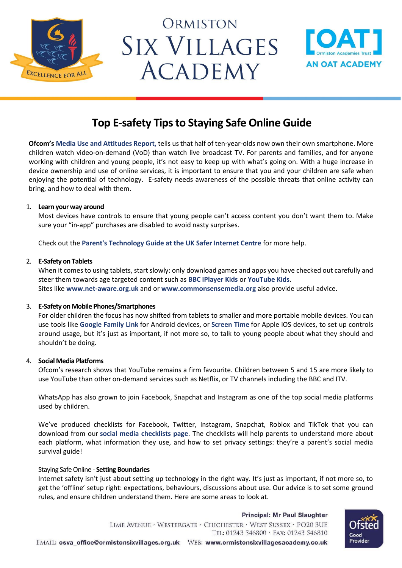

# ORMISTON **SIX VILLAGES ACADEMY**



## **Top E-safety Tips to Staying Safe Online Guide**

**Ofcom's [Media Use and Attitudes Report,](https://www.ofcom.org.uk/research-and-data/media-literacy-research/childrens/children-and-parents-media-use-and-attitudes-report-2019)** tells us that half of ten-year-olds now own their own smartphone. More children watch video-on-demand (VoD) than watch live broadcast TV. For parents and families, and for anyone working with children and young people, it's not easy to keep up with what's going on. With a huge increase in device ownership and use of online services, it is important to ensure that you and your children are safe when enjoying the potential of technology. E-safety needs awareness of the possible threats that online activity can bring, and how to deal with them.

#### 1. **Learn your way around**

Most devices have controls to ensure that young people can't access content you don't want them to. Make sure your "in-app" purchases are disabled to avoid nasty surprises.

Check out the **[Parent's Technology Guide at the UK Safer Internet Centre](http://www.saferinternet.org.uk/advice-centre/parents-and-carers/parents-guide-technology)** for more help.

#### 2. **E-Safety on Tablets**

When it comes to using tablets, start slowly: only download games and apps you have checked out carefully and steer them towards age targeted content such as **[BBC iPlayer Kids](http://www.bbc.co.uk/iplayer/cbeebies/features/iplayer-kids)** or **[YouTube Kids](https://www.youtube.com/kids/)**. Sites like **[www.net-aware.org.uk](http://www.net-aware.org.uk/)** and or **[www.commonsensemedia.org](http://www.commonsensemedia.org/)** also provide useful advice.

#### 3. **E-Safety on Mobile Phones/Smartphones**

For older children the focus has now shifted from tablets to smaller and more portable mobile devices. You can use tools like **[Google Family Link](https://families.google.com/familylink/)** for Android devices, or **[Screen Time](https://support.apple.com/en-gb/HT201304)** for Apple iOS devices, to set up controls around usage, but it's just as important, if not more so, to talk to young people about what they should and shouldn't be doing.

### 4. **Social Media Platforms**

Ofcom's research shows that YouTube remains a firm favourite. Children between 5 and 15 are more likely to use YouTube than other on-demand services such as Netflix, or TV channels including the BBC and ITV.

WhatsApp has also grown to join Facebook, Snapchat and Instagram as one of the top social media platforms used by children.

We've produced checklists for Facebook, Twitter, Instagram, Snapchat, Roblox and TikTok that you can download from our **[social media checklists page](https://swgfl.org.uk/resources/checklists/)**. The checklists will help parents to understand more about each platform, what information they use, and how to set privacy settings: they're a parent's social media survival guide!

#### Staying Safe Online - **Setting Boundaries**

Internet safety isn't just about setting up technology in the right way. It's just as important, if not more so, to get the 'offline' setup right: expectations, behaviours, discussions about use. Our advice is to set some ground rules, and ensure children understand them. Here are some areas to look at.

Principal: Mr Paul Slaughter LIME AVENUE · WESTERGATE · CHICHESTER · WEST SUSSEX · PO20 3UE TEL: 01243 546800 · FAX: 01243 546810